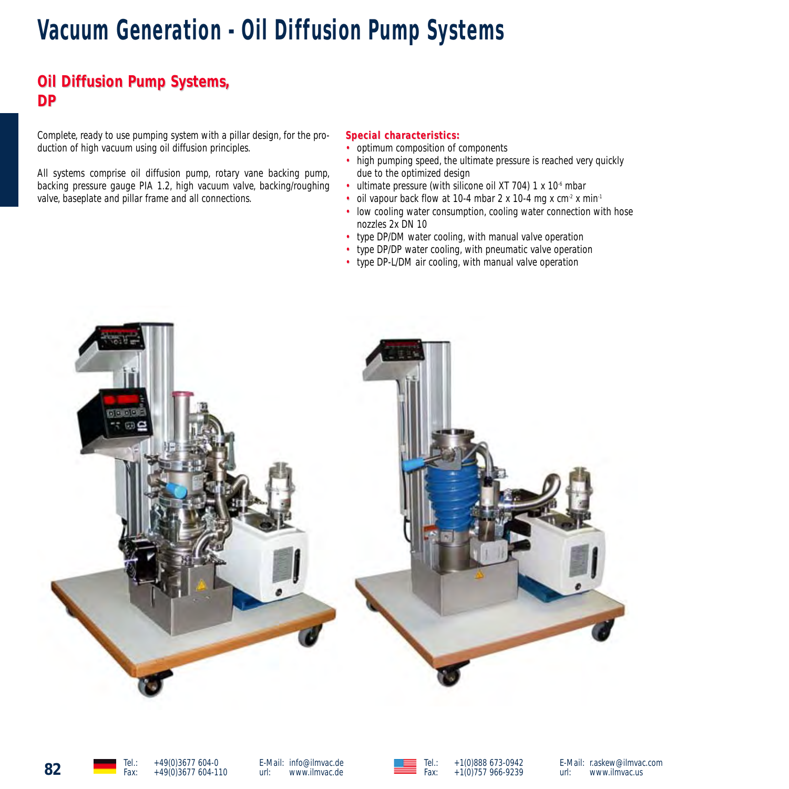# **Vacuum Generation - Oil Diffusion Pump Systems**

# **Oil Diffusion Pump Systems, DP**

Complete, ready to use pumping system with a pillar design, for the production of high vacuum using oil diffusion principles.

All systems comprise oil diffusion pump, rotary vane backing pump, backing pressure gauge PIA 1.2, high vacuum valve, backing/roughing valve, baseplate and pillar frame and all connections.

### $Special characteristics:$

- optimum composition of components
- high pumping speed, the ultimate pressure is reached very quickly due to the optimized design
- ultimate pressure (with silicone oil XT 704) 1 x  $10<sup>6</sup>$  mbar
- oil vapour back flow at 10-4 mbar 2 x 10-4 mg x cm<sup>-2</sup> x min<sup>-1</sup>
- low cooling water consumption, cooling water connection with hose nozzles 2x DN 10
- type DP/DM water cooling, with manual valve operation
- type DP/DP water cooling, with pneumatic valve operation
- type DP-L/DM air cooling, with manual valve operation







E-Mail: r.askew@ilmvac.com<br>url: www.ilmvac.us www.ilmvac.us